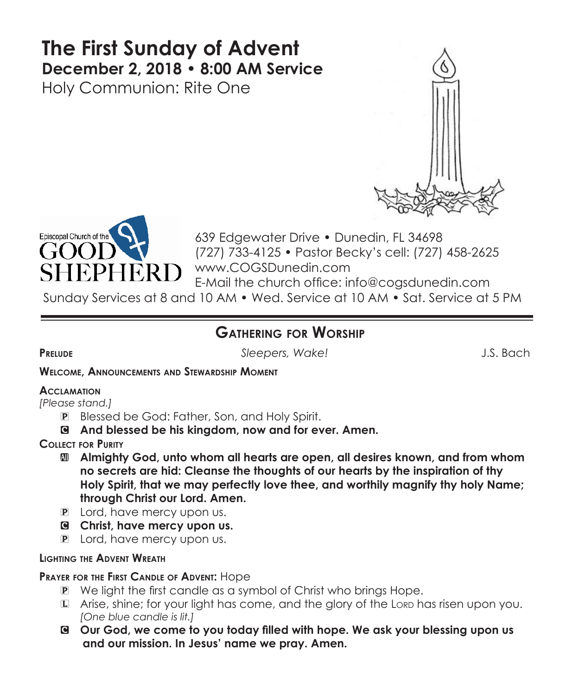# **The First Sunday of Advent December 2, 2018 • 8:00 AM Service**

Holy Communion: Rite One





639 Edgewater Drive • Dunedin, FL 34698 (727) 733-4125 • Pastor Becky's cell: (727) 458-2625 www.COGSDunedin.com E-Mail the church office: info@cogsdunedin.com

Sunday Services at 8 and 10 AM • Wed. Service at 10 AM • Sat. Service at 5 PM

# **Gathering for Worship**

**Prelude** *Sleepers, Wake!* J.S. Bach

#### **Welcome, Announcements and Stewardship Moment**

## **Acclamation**

*[Please stand.]* 

- P Blessed be God: Father, Son, and Holy Spirit.
- C **And blessed be his kingdom, now and for ever. Amen.**

## **Collect for Purity**

- a **Almighty God, unto whom all hearts are open, all desires known, and from whom no secrets are hid: Cleanse the thoughts of our hearts by the inspiration of thy Holy Spirit, that we may perfectly love thee, and worthily magnify thy holy Name; through Christ our Lord. Amen.**
- P Lord, have mercy upon us.
- C **Christ, have mercy upon us.**
- P Lord, have mercy upon us.

## **Lighting the Advent Wreath**

## **Prayer for the First Candle of Advent:** Hope

- P We light the first candle as a symbol of Christ who brings Hope.
- L Arise, shine; for your light has come, and the glory of the Lorp has risen upon you.  *[One blue candle is lit.]*
- C **Our God, we come to you today filled with hope. We ask your blessing upon us and our mission. In Jesus' name we pray. Amen.**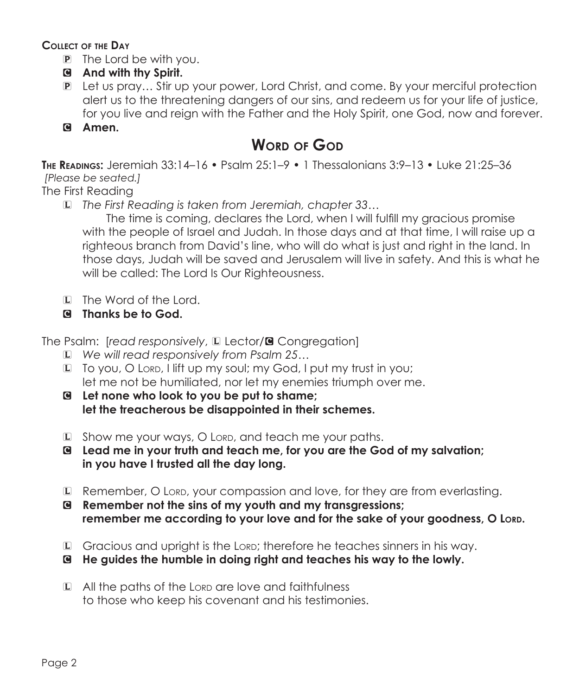**Collect of the Day**

- P The Lord be with you.
- C **And with thy Spirit.**
- P Let us pray... Stir up your power, Lord Christ, and come. By your merciful protection alert us to the threatening dangers of our sins, and redeem us for your life of justice, for you live and reign with the Father and the Holy Spirit, one God, now and forever.
- C **Amen.**

# **WORD OF GOD**

**The Readings:** Jeremiah 33:14–16 • Psalm 25:1–9 • 1 Thessalonians 3:9–13 • Luke 21:25–36 *[Please be seated.]*

The First Reading

L *The First Reading is taken from Jeremiah, chapter 33…*

 The time is coming, declares the Lord, when I will fulfill my gracious promise with the people of Israel and Judah. In those days and at that time, I will raise up a righteous branch from David's line, who will do what is just and right in the land. In those days, Judah will be saved and Jerusalem will live in safety. And this is what he will be called: The Lord Is Our Righteousness.

- L The Word of the Lord.
- C **Thanks be to God.**

The Psalm: *[read responsively*, **L** Lector/**G** Congregation]

- L *We will read responsively from Psalm 25…*
- $\mathbb D$  To you, O Lord, I lift up my soul; my God, I put my trust in you; let me not be humiliated, nor let my enemies triumph over me.
- C **Let none who look to you be put to shame; let the treacherous be disappointed in their schemes.**
- $L$  Show me your ways, O Lord, and teach me your paths.
- C **Lead me in your truth and teach me, for you are the God of my salvation; in you have I trusted all the day long.**
- L Remember, O Lorp, your compassion and love, for they are from everlasting.
- C **Remember not the sins of my youth and my transgressions; remember me according to your love and for the sake of your goodness, O Lord.**
- L Gracious and upright is the Lord; therefore he teaches sinners in his way.
- C **He guides the humble in doing right and teaches his way to the lowly.**
- $L$  All the paths of the Lorp are love and faithfulness to those who keep his covenant and his testimonies.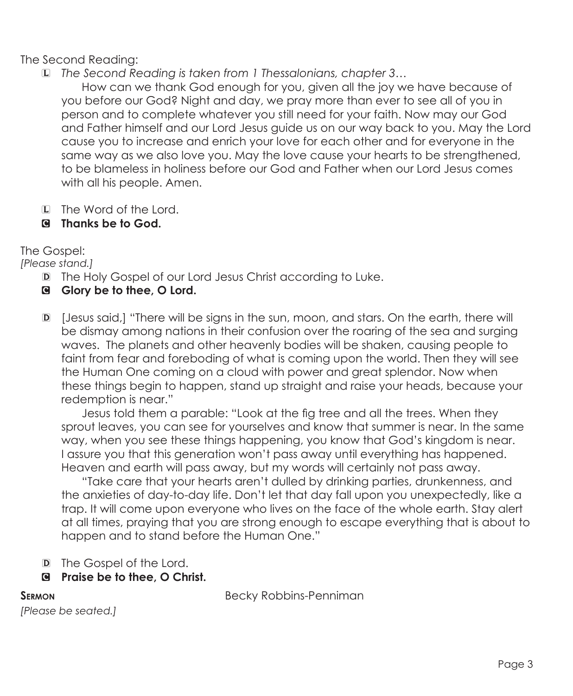The Second Reading:

L *The Second Reading is taken from 1 Thessalonians, chapter 3…*

 How can we thank God enough for you, given all the joy we have because of you before our God? Night and day, we pray more than ever to see all of you in person and to complete whatever you still need for your faith. Now may our God and Father himself and our Lord Jesus guide us on our way back to you. May the Lord cause you to increase and enrich your love for each other and for everyone in the same way as we also love you. May the love cause your hearts to be strengthened, to be blameless in holiness before our God and Father when our Lord Jesus comes with all his people. Amen.

- L The Word of the Lord.
- C **Thanks be to God.**

The Gospel:

*[Please stand.]*

- D The Holy Gospel of our Lord Jesus Christ according to Luke.
- C **Glory be to thee, O Lord.**
- D [Jesus said,] "There will be signs in the sun, moon, and stars. On the earth, there will be dismay among nations in their confusion over the roaring of the sea and surging waves. The planets and other heavenly bodies will be shaken, causing people to faint from fear and foreboding of what is coming upon the world. Then they will see the Human One coming on a cloud with power and great splendor. Now when these things begin to happen, stand up straight and raise your heads, because your redemption is near."

 Jesus told them a parable: "Look at the fig tree and all the trees. When they sprout leaves, you can see for yourselves and know that summer is near. In the same way, when you see these things happening, you know that God's kingdom is near. I assure you that this generation won't pass away until everything has happened. Heaven and earth will pass away, but my words will certainly not pass away.

 "Take care that your hearts aren't dulled by drinking parties, drunkenness, and the anxieties of day-to-day life. Don't let that day fall upon you unexpectedly, like a trap. It will come upon everyone who lives on the face of the whole earth. Stay alert at all times, praying that you are strong enough to escape everything that is about to happen and to stand before the Human One."

- D The Gospel of the Lord.
- C **Praise be to thee, O Christ.**

**SERMON Becky Robbins-Penniman** 

```
[Please be seated.]
```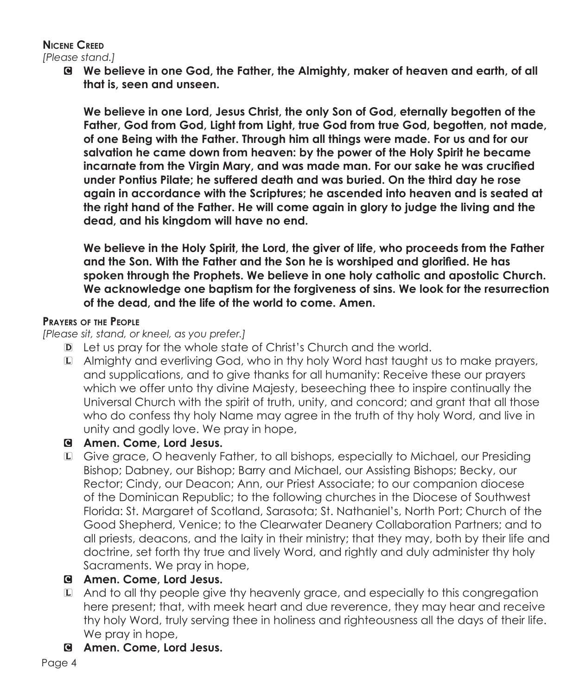## **Nicene Creed**

*[Please stand.]*

C **We believe in one God, the Father, the Almighty, maker of heaven and earth, of all that is, seen and unseen.** 

**We believe in one Lord, Jesus Christ, the only Son of God, eternally begotten of the Father, God from God, Light from Light, true God from true God, begotten, not made, of one Being with the Father. Through him all things were made. For us and for our salvation he came down from heaven: by the power of the Holy Spirit he became incarnate from the Virgin Mary, and was made man. For our sake he was crucified under Pontius Pilate; he suffered death and was buried. On the third day he rose again in accordance with the Scriptures; he ascended into heaven and is seated at the right hand of the Father. He will come again in glory to judge the living and the dead, and his kingdom will have no end.**

**We believe in the Holy Spirit, the Lord, the giver of life, who proceeds from the Father and the Son. With the Father and the Son he is worshiped and glorified. He has spoken through the Prophets. We believe in one holy catholic and apostolic Church. We acknowledge one baptism for the forgiveness of sins. We look for the resurrection of the dead, and the life of the world to come. Amen.**

## **Prayers of the People**

*[Please sit, stand, or kneel, as you prefer.]*

- D Let us pray for the whole state of Christ's Church and the world.
- L Almighty and everliving God, who in thy holy Word hast taught us to make prayers, and supplications, and to give thanks for all humanity: Receive these our prayers which we offer unto thy divine Majesty, beseeching thee to inspire continually the Universal Church with the spirit of truth, unity, and concord; and grant that all those who do confess thy holy Name may agree in the truth of thy holy Word, and live in unity and godly love. We pray in hope,

## C **Amen. Come, Lord Jesus.**

L Give grace, O heavenly Father, to all bishops, especially to Michael, our Presiding Bishop; Dabney, our Bishop; Barry and Michael, our Assisting Bishops; Becky, our Rector; Cindy, our Deacon; Ann, our Priest Associate; to our companion diocese of the Dominican Republic; to the following churches in the Diocese of Southwest Florida: St. Margaret of Scotland, Sarasota; St. Nathaniel's, North Port; Church of the Good Shepherd, Venice; to the Clearwater Deanery Collaboration Partners; and to all priests, deacons, and the laity in their ministry; that they may, both by their life and doctrine, set forth thy true and lively Word, and rightly and duly administer thy holy Sacraments. We pray in hope,

## C **Amen. Come, Lord Jesus.**

- L And to all thy people give thy heavenly grace, and especially to this congregation here present; that, with meek heart and due reverence, they may hear and receive thy holy Word, truly serving thee in holiness and righteousness all the days of their life. We pray in hope,
- C **Amen. Come, Lord Jesus.**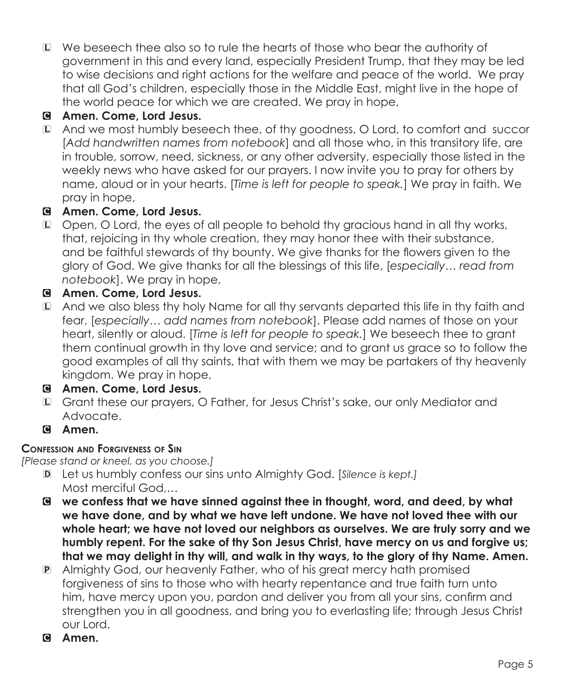L We beseech thee also so to rule the hearts of those who bear the authority of government in this and every land, especially President Trump, that they may be led to wise decisions and right actions for the welfare and peace of the world. We pray that all God's children, especially those in the Middle East, might live in the hope of the world peace for which we are created. We pray in hope,

## C **Amen. Come, Lord Jesus.**

L And we most humbly beseech thee, of thy goodness, O Lord, to comfort and succor [*Add handwritten names from notebook*] and all those who, in this transitory life, are in trouble, sorrow, need, sickness, or any other adversity, especially those listed in the weekly news who have asked for our prayers. I now invite you to pray for others by name, aloud or in your hearts. [*Time is left for people to speak.*] We pray in faith. We pray in hope,

## C **Amen. Come, Lord Jesus.**

L Open, O Lord, the eyes of all people to behold thy gracious hand in all thy works, that, rejoicing in thy whole creation, they may honor thee with their substance, and be faithful stewards of thy bounty. We give thanks for the flowers given to the glory of God. We give thanks for all the blessings of this life, [*especially… read from notebook*]. We pray in hope,

## C **Amen. Come, Lord Jesus.**

L And we also bless thy holy Name for all thy servants departed this life in thy faith and fear, [*especially… add names from notebook*]. Please add names of those on your heart, silently or aloud. [*Time is left for people to speak.*] We beseech thee to grant them continual growth in thy love and service; and to grant us grace so to follow the good examples of all thy saints, that with them we may be partakers of thy heavenly kingdom. We pray in hope,

## C **Amen. Come, Lord Jesus.**

- L Grant these our prayers, O Father, for Jesus Christ's sake, our only Mediator and Advocate.
- C **Amen.**

## **Confession and Forgiveness of Sin**

*[Please stand or kneel, as you choose.]*

- D Let us humbly confess our sins unto Almighty God. [*Silence is kept.]* Most merciful God,…
- C **we confess that we have sinned against thee in thought, word, and deed, by what we have done, and by what we have left undone. We have not loved thee with our whole heart; we have not loved our neighbors as ourselves. We are truly sorry and we humbly repent. For the sake of thy Son Jesus Christ, have mercy on us and forgive us; that we may delight in thy will, and walk in thy ways, to the glory of thy Name. Amen.**
- P Almighty God, our heavenly Father, who of his great mercy hath promised forgiveness of sins to those who with hearty repentance and true faith turn unto him, have mercy upon you, pardon and deliver you from all your sins, confirm and strengthen you in all goodness, and bring you to everlasting life; through Jesus Christ our Lord.
- C **Amen.**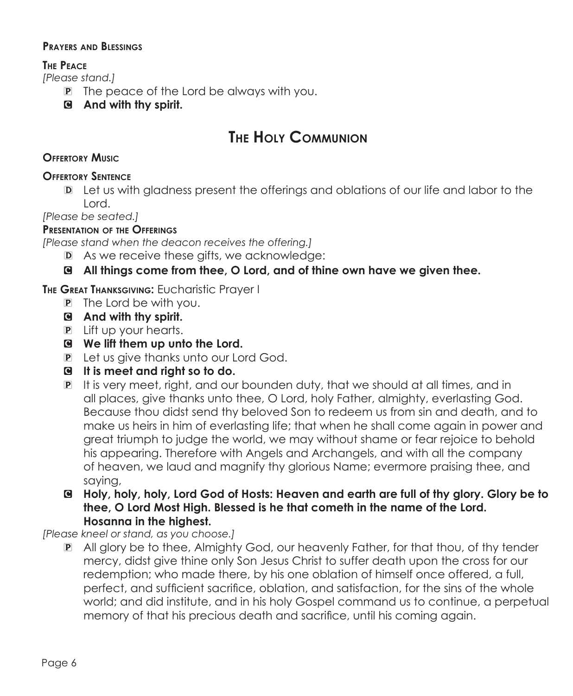#### **Prayers and Blessings**

#### **The Peace**

*[Please stand.]*

- **P** The peace of the Lord be always with you.
- C **And with thy spirit.**

# **The Holy Communion**

#### **Offertory Music**

#### **Offertory Sentence**

D Let us with gladness present the offerings and oblations of our life and labor to the Lord.

*[Please be seated.]*

#### **Presentation of the Offerings**

*[Please stand when the deacon receives the offering.]*

- D As we receive these gifts, we acknowledge:
- C **All things come from thee, O Lord, and of thine own have we given thee.**

**The Great Thanksgiving:** Eucharistic Prayer I

- $\mathbf{P}$  The Lord be with you.
- C **And with thy spirit.**
- **P** Lift up your hearts.
- C **We lift them up unto the Lord.**
- **P** Let us give thanks unto our Lord God.
- C **It is meet and right so to do.**
- P It is very meet, right, and our bounden duty, that we should at all times, and in all places, give thanks unto thee, O Lord, holy Father, almighty, everlasting God. Because thou didst send thy beloved Son to redeem us from sin and death, and to make us heirs in him of everlasting life; that when he shall come again in power and great triumph to judge the world, we may without shame or fear rejoice to behold his appearing. Therefore with Angels and Archangels, and with all the company of heaven, we laud and magnify thy glorious Name; evermore praising thee, and saying,
- C **Holy, holy, holy, Lord God of Hosts: Heaven and earth are full of thy glory. Glory be to thee, O Lord Most High. Blessed is he that cometh in the name of the Lord. Hosanna in the highest.**

*[Please kneel or stand, as you choose.]*

P All glory be to thee, Almighty God, our heavenly Father, for that thou, of thy tender mercy, didst give thine only Son Jesus Christ to suffer death upon the cross for our redemption; who made there, by his one oblation of himself once offered, a full, perfect, and sufficient sacrifice, oblation, and satisfaction, for the sins of the whole world; and did institute, and in his holy Gospel command us to continue, a perpetual memory of that his precious death and sacrifice, until his coming again.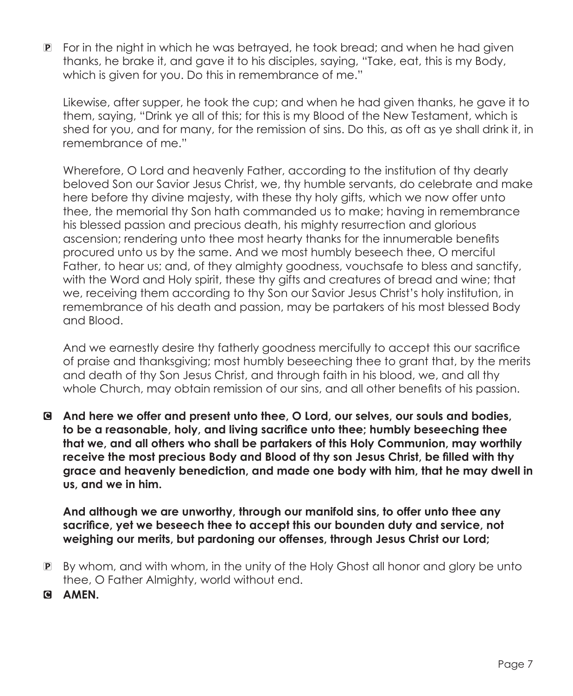$P$  For in the night in which he was betrayed, he took bread; and when he had given thanks, he brake it, and gave it to his disciples, saying, "Take, eat, this is my Body, which is given for you. Do this in remembrance of me."

Likewise, after supper, he took the cup; and when he had given thanks, he gave it to them, saying, "Drink ye all of this; for this is my Blood of the New Testament, which is shed for you, and for many, for the remission of sins. Do this, as oft as ye shall drink it, in remembrance of me."

 Wherefore, O Lord and heavenly Father, according to the institution of thy dearly beloved Son our Savior Jesus Christ, we, thy humble servants, do celebrate and make here before thy divine majesty, with these thy holy gifts, which we now offer unto thee, the memorial thy Son hath commanded us to make; having in remembrance his blessed passion and precious death, his mighty resurrection and glorious ascension; rendering unto thee most hearty thanks for the innumerable benefits procured unto us by the same. And we most humbly beseech thee, O merciful Father, to hear us; and, of they almighty goodness, vouchsafe to bless and sanctify, with the Word and Holy spirit, these thy gifts and creatures of bread and wine; that we, receiving them according to thy Son our Savior Jesus Christ's holy institution, in remembrance of his death and passion, may be partakers of his most blessed Body and Blood.

And we earnestly desire thy fatherly goodness mercifully to accept this our sacrifice of praise and thanksgiving; most humbly beseeching thee to grant that, by the merits and death of thy Son Jesus Christ, and through faith in his blood, we, and all thy whole Church, may obtain remission of our sins, and all other benefits of his passion.

C **And here we offer and present unto thee, O Lord, our selves, our souls and bodies, to be a reasonable, holy, and living sacrifice unto thee; humbly beseeching thee that we, and all others who shall be partakers of this Holy Communion, may worthily receive the most precious Body and Blood of thy son Jesus Christ, be filled with thy grace and heavenly benediction, and made one body with him, that he may dwell in us, and we in him.**

 **And although we are unworthy, through our manifold sins, to offer unto thee any sacrifice, yet we beseech thee to accept this our bounden duty and service, not weighing our merits, but pardoning our offenses, through Jesus Christ our Lord;** 

- P By whom, and with whom, in the unity of the Holy Ghost all honor and glory be unto thee, O Father Almighty, world without end.
- C **AMEN.**